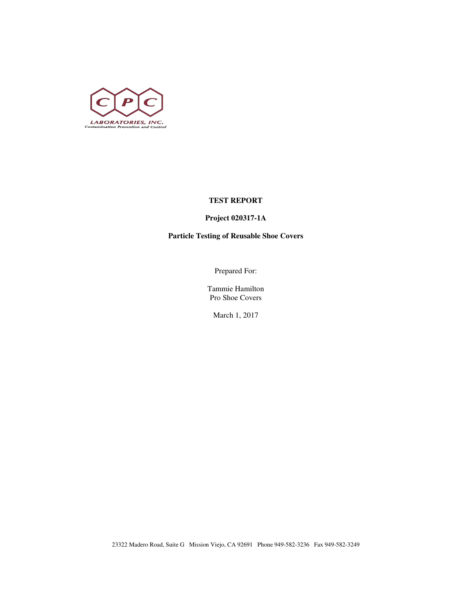

## **TEST REPORT**

# **Project 020317-1A**

# **Particle Testing of Reusable Shoe Covers**

Prepared For:

Tammie Hamilton Pro Shoe Covers

March 1, 2017

23322 Madero Road, Suite G Mission Viejo, CA 92691 Phone 949-582-3236 Fax 949-582-3249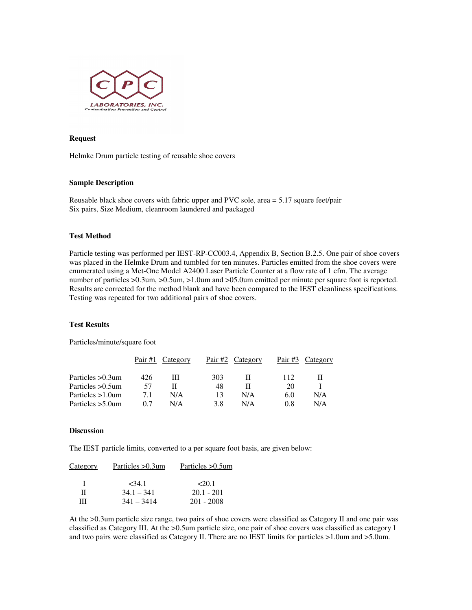

#### **Request**

Helmke Drum particle testing of reusable shoe covers

### **Sample Description**

Reusable black shoe covers with fabric upper and PVC sole, area = 5.17 square feet/pair Six pairs, Size Medium, cleanroom laundered and packaged

### **Test Method**

Particle testing was performed per IEST-RP-CC003.4, Appendix B, Section B.2.5. One pair of shoe covers was placed in the Helmke Drum and tumbled for ten minutes. Particles emitted from the shoe covers were enumerated using a Met-One Model A2400 Laser Particle Counter at a flow rate of 1 cfm. The average number of particles >0.3um, >0.5um, >1.0um and >05.0um emitted per minute per square foot is reported. Results are corrected for the method blank and have been compared to the IEST cleanliness specifications. Testing was repeated for two additional pairs of shoe covers.

### **Test Results**

Particles/minute/square foot

|                     | Pair $#1$ | Category | Pair #2 | Category | Pair #3 | Category |
|---------------------|-----------|----------|---------|----------|---------|----------|
| Particles > 0.3um   | 426       | ш        | 303     |          | 112     |          |
| Particles > 0.5um   | 57        |          | 48      |          | 20      |          |
| Particles $>1.0$ um | 7.1       | N/A      | 13      | N/A      | 6.0     | N/A      |
| Particles $>5.0$ um | 07        | N/A      | 3.8     | N/A      | 0.8     | N/A      |

#### **Discussion**

The IEST particle limits, converted to a per square foot basis, are given below:

| Category | Particles > 0.3um | Particles > 0.5um |
|----------|-------------------|-------------------|
| л.       | <34.1             | 20.1              |
| Н        | $34.1 - 341$      | $20.1 - 201$      |
| ш        | $341 - 3414$      | $201 - 2008$      |

At the >0.3um particle size range, two pairs of shoe covers were classified as Category II and one pair was classified as Category III. At the >0.5um particle size, one pair of shoe covers was classified as category I and two pairs were classified as Category II. There are no IEST limits for particles >1.0um and >5.0um.